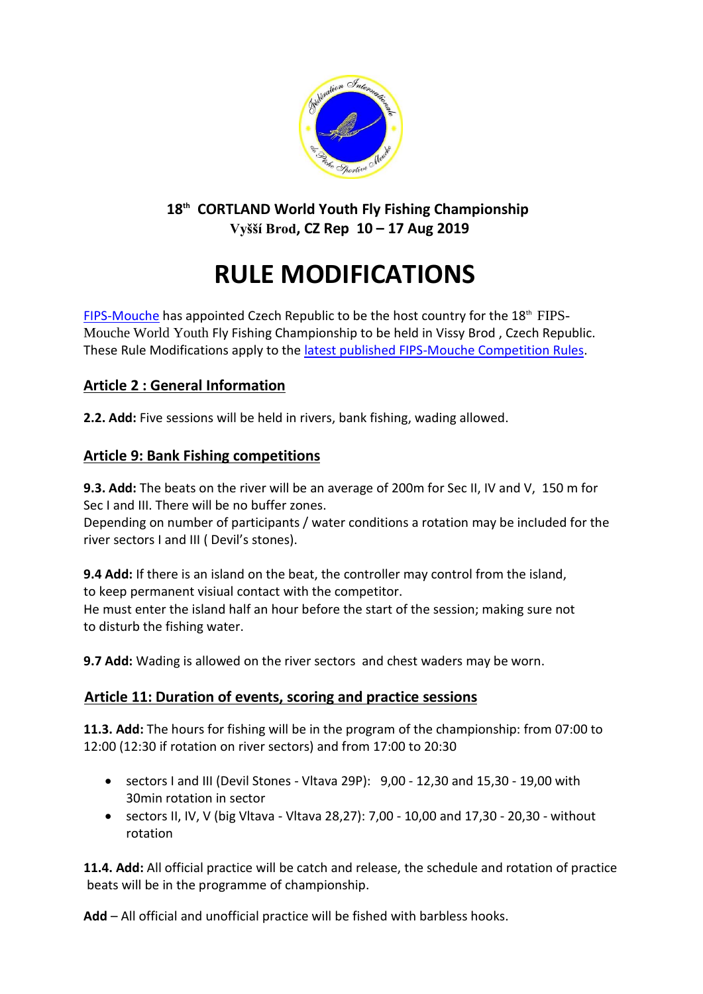

## **18th CORTLAND World Youth Fly Fishing Championship Vyšší Brod, CZ Rep 10 – 17 Aug 2019**

# **RULE MODIFICATIONS**

[FIPS-Mouche](http://www.fips-mouche.com/) has appointed Czech Republic to be the host country for the 18<sup>th</sup> FIPS-Mouche World Youth Fly Fishing Championship to be held in Vissy Brod , Czech Republic. These Rule Modifications apply to the [latest published FIPS-Mouche](http://www.fips-mouche.com/index.php?option=com_docman&Itemid=11) Competition Rules.

## **Article 2 : General Information**

**2.2. Add:** Five sessions will be held in rivers, bank fishing, wading allowed.

### **Article 9: Bank Fishing competitions**

**9.3. Add:** The beats on the river will be an average of 200m for Sec II, IV and V, 150 m for Sec I and III. There will be no buffer zones.

Depending on number of participants / water conditions a rotation may be incIuded for the river sectors I and III ( Devil's stones).

**9.4 Add:** If there is an island on the beat, the controller may control from the island, to keep permanent visiual contact with the competitor. He must enter the island half an hour before the start of the session; making sure not to disturb the fishing water.

**9.7 Add:** Wading is allowed on the river sectors  and chest waders may be worn.

#### **Article 11: Duration of events, scoring and practice sessions**

**11.3. Add:** The hours for fishing will be in the program of the championship: from 07:00 to 12:00 (12:30 if rotation on river sectors) and from 17:00 to 20:30

- sectors I and III (Devil Stones Vltava 29P): 9,00 12,30 and 15,30 19,00 with 30min rotation in sector
- sectors II, IV, V (big Vltava Vltava 28,27): 7,00 10,00 and 17,30 20,30 without rotation

**11.4. Add:** All official practice will be catch and release, the schedule and rotation of practice beats will be in the programme of championship.

**Add** – All official and unofficial practice will be fished with barbless hooks.